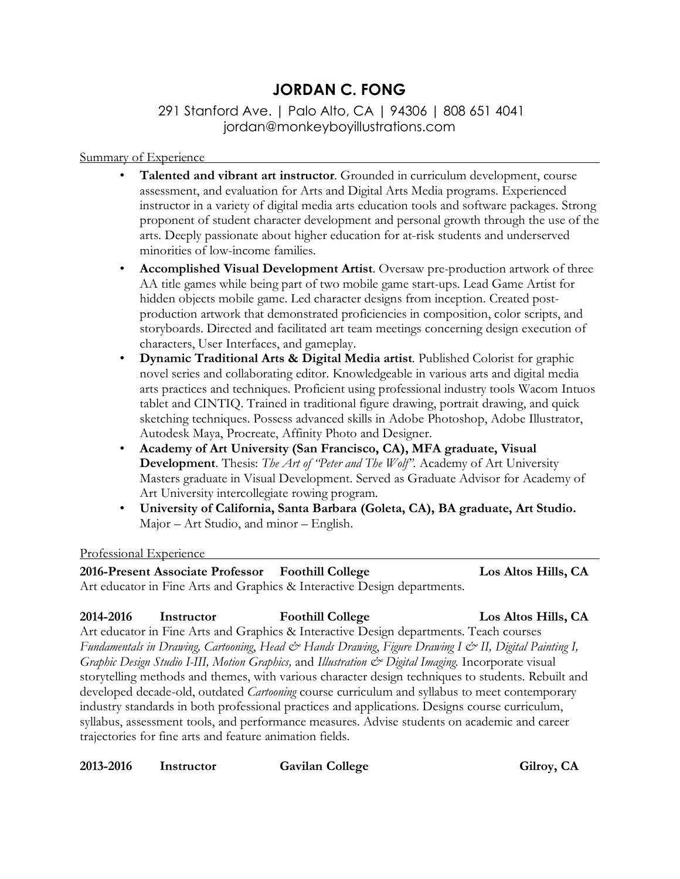# **JORDAN C. FONG**

## 291 Stanford Ave. | Palo Alto, CA | 94306 | 808 651 4041 jordan@monkeyboyillustrations.com

#### Summary of Experience

- **Talented and vibrant art instructor**. Grounded in curriculum development, course assessment, and evaluation for Arts and Digital Arts Media programs. Experienced instructor in a variety of digital media arts education tools and software packages. Strong proponent of student character development and personal growth through the use of the arts. Deeply passionate about higher education for at-risk students and underserved minorities of low-income families.
- **Accomplished Visual Development Artist**. Oversaw pre-production artwork of three AA title games while being part of two mobile game start-ups. Lead Game Artist for hidden objects mobile game. Led character designs from inception. Created postproduction artwork that demonstrated proficiencies in composition, color scripts, and storyboards. Directed and facilitated art team meetings concerning design execution of characters, User Interfaces, and gameplay.
- **Dynamic Traditional Arts & Digital Media artist**. Published Colorist for graphic novel series and collaborating editor. Knowledgeable in various arts and digital media arts practices and techniques. Proficient using professional industry tools Wacom Intuos tablet and CINTIQ. Trained in traditional figure drawing, portrait drawing, and quick sketching techniques. Possess advanced skills in Adobe Photoshop, Adobe Illustrator, Autodesk Maya, Procreate, Affinity Photo and Designer.
- **Academy of Art University (San Francisco, CA), MFA graduate, Visual Development**. Thesis: *The Art of "Peter and The Wolf".* Academy of Art University Masters graduate in Visual Development. Served as Graduate Advisor for Academy of Art University intercollegiate rowing program.
- **University of California, Santa Barbara (Goleta, CA), BA graduate, Art Studio.** Major – Art Studio, and minor – English.

#### Professional Experience

**2016-Present Associate Professor Foothill College Los Altos Hills, CA** Art educator in Fine Arts and Graphics & Interactive Design departments.

### **2014-2016 Instructor Foothill College Los Altos Hills, CA**

Art educator in Fine Arts and Graphics & Interactive Design departments. Teach courses *Fundamentals in Drawing, Cartooning*, *Head & Hands Drawing*, *Figure Drawing I & II, Digital Painting I, Graphic Design Studio I-III, Motion Graphics,* and *Illustration & Digital Imaging.* Incorporate visual storytelling methods and themes, with various character design techniques to students. Rebuilt and developed decade-old, outdated *Cartooning* course curriculum and syllabus to meet contemporary industry standards in both professional practices and applications. Designs course curriculum, syllabus, assessment tools, and performance measures. Advise students on academic and career trajectories for fine arts and feature animation fields.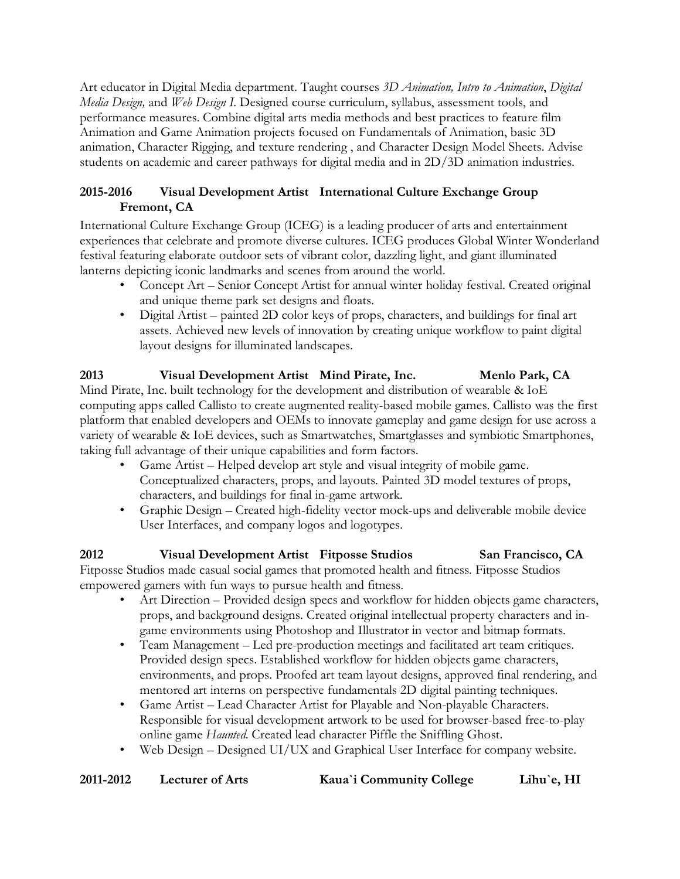Art educator in Digital Media department. Taught courses *3D Animation, Intro to Animation*, *Digital Media Design,* and *Web Design I*. Designed course curriculum, syllabus, assessment tools, and performance measures. Combine digital arts media methods and best practices to feature film Animation and Game Animation projects focused on Fundamentals of Animation, basic 3D animation, Character Rigging, and texture rendering , and Character Design Model Sheets. Advise students on academic and career pathways for digital media and in 2D/3D animation industries.

### **2015-2016 Visual Development Artist International Culture Exchange Group Fremont, CA**

International Culture Exchange Group (ICEG) is a leading producer of arts and entertainment experiences that celebrate and promote diverse cultures. ICEG produces Global Winter Wonderland festival featuring elaborate outdoor sets of vibrant color, dazzling light, and giant illuminated lanterns depicting iconic landmarks and scenes from around the world.

- Concept Art Senior Concept Artist for annual winter holiday festival. Created original and unique theme park set designs and floats.
- Digital Artist painted 2D color keys of props, characters, and buildings for final art assets. Achieved new levels of innovation by creating unique workflow to paint digital layout designs for illuminated landscapes.

### **2013 Visual Development Artist Mind Pirate, Inc. Menlo Park, CA** Mind Pirate, Inc. built technology for the development and distribution of wearable & IoE computing apps called Callisto to create augmented reality-based mobile games. Callisto was the first platform that enabled developers and OEMs to innovate gameplay and game design for use across a variety of wearable & IoE devices, such as Smartwatches, Smartglasses and symbiotic Smartphones, taking full advantage of their unique capabilities and form factors.

- Game Artist Helped develop art style and visual integrity of mobile game. Conceptualized characters, props, and layouts. Painted 3D model textures of props, characters, and buildings for final in-game artwork.
- Graphic Design Created high-fidelity vector mock-ups and deliverable mobile device User Interfaces, and company logos and logotypes.

### **2012 Visual Development Artist Fitposse Studios San Francisco, CA** Fitposse Studios made casual social games that promoted health and fitness. Fitposse Studios empowered gamers with fun ways to pursue health and fitness.

- Art Direction Provided design specs and workflow for hidden objects game characters, props, and background designs. Created original intellectual property characters and ingame environments using Photoshop and Illustrator in vector and bitmap formats.
- Team Management Led pre-production meetings and facilitated art team critiques. Provided design specs. Established workflow for hidden objects game characters, environments, and props. Proofed art team layout designs, approved final rendering, and mentored art interns on perspective fundamentals 2D digital painting techniques.
- Game Artist Lead Character Artist for Playable and Non-playable Characters. Responsible for visual development artwork to be used for browser-based free-to-play online game *Haunted*. Created lead character Piffle the Sniffling Ghost.
- Web Design Designed UI/UX and Graphical User Interface for company website.

| 2011-2012<br><b>Lecturer of Arts</b> |  |  |  | Kaua'i Community College | Lihu'e, HI |
|--------------------------------------|--|--|--|--------------------------|------------|
|--------------------------------------|--|--|--|--------------------------|------------|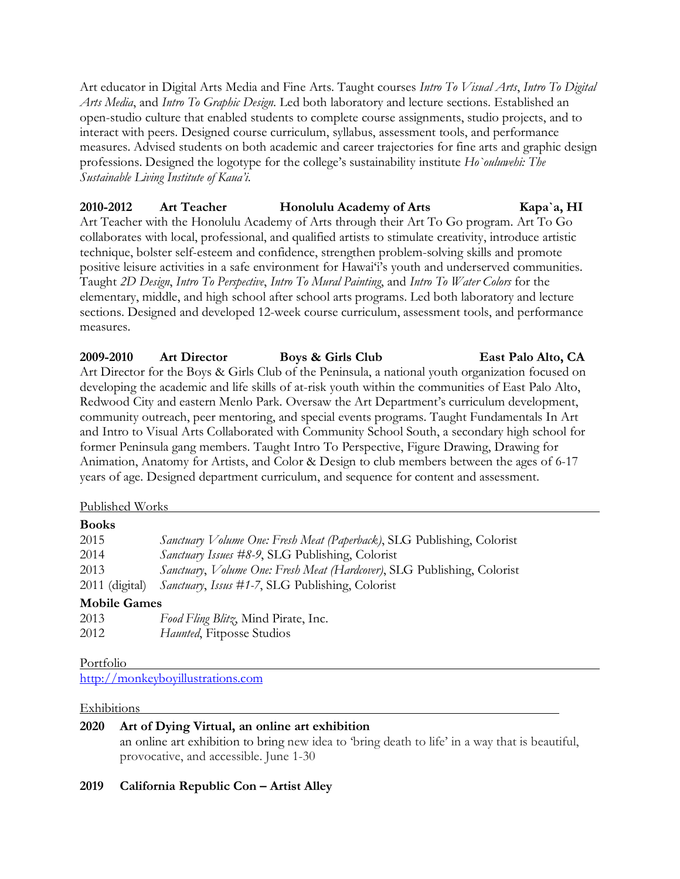Art educator in Digital Arts Media and Fine Arts. Taught courses *Intro To Visual Arts*, *Intro To Digital Arts Media*, and *Intro To Graphic Design*. Led both laboratory and lecture sections. Established an open-studio culture that enabled students to complete course assignments, studio projects, and to interact with peers. Designed course curriculum, syllabus, assessment tools, and performance measures. Advised students on both academic and career trajectories for fine arts and graphic design professions. Designed the logotype for the college's sustainability institute *Ho`ouluwehi: The Sustainable Living Institute of Kaua'i*.

# **2010-2012 Art Teacher Honolulu Academy of Arts Kapa`a, HI**

Art Teacher with the Honolulu Academy of Arts through their Art To Go program. Art To Go collaborates with local, professional, and qualified artists to stimulate creativity, introduce artistic technique, bolster self-esteem and confidence, strengthen problem-solving skills and promote positive leisure activities in a safe environment for Hawai'i's youth and underserved communities. Taught *2D Design*, *Intro To Perspective*, *Intro To Mural Painting*, and *Intro To Water Colors* for the elementary, middle, and high school after school arts programs. Led both laboratory and lecture sections. Designed and developed 12-week course curriculum, assessment tools, and performance measures.

**2009-2010 Art Director Boys & Girls Club East Palo Alto, CA** Art Director for the Boys & Girls Club of the Peninsula, a national youth organization focused on developing the academic and life skills of at-risk youth within the communities of East Palo Alto, Redwood City and eastern Menlo Park. Oversaw the Art Department's curriculum development, community outreach, peer mentoring, and special events programs. Taught Fundamentals In Art and Intro to Visual Arts Collaborated with Community School South, a secondary high school for former Peninsula gang members. Taught Intro To Perspective, Figure Drawing, Drawing for Animation, Anatomy for Artists, and Color & Design to club members between the ages of 6-17 years of age. Designed department curriculum, and sequence for content and assessment.

#### Published Works

| 2015                | Sanctuary Volume One: Fresh Meat (Paperback), SLG Publishing, Colorist  |
|---------------------|-------------------------------------------------------------------------|
| 2014                | Sanctuary Issues #8-9, SLG Publishing, Colorist                         |
| 2013                | Sanctuary, Volume One: Fresh Meat (Hardcover), SLG Publishing, Colorist |
| $2011$ (digital)    | Sanctuary, Issus #1-7, SLG Publishing, Colorist                         |
| <b>Mobile Games</b> |                                                                         |
| 2013                | Food Fling Blitz, Mind Pirate, Inc.                                     |
|                     |                                                                         |

2012 *Haunted*, Fitposse Studios

Portfolio

http://monkeyboyillustrations.com

#### **Exhibitions**

### **2020 Art of Dying Virtual, an online art exhibition**

an online art exhibition to bring new idea to 'bring death to life' in a way that is beautiful, provocative, and accessible. June 1-30

#### **2019 California Republic Con – Artist Alley**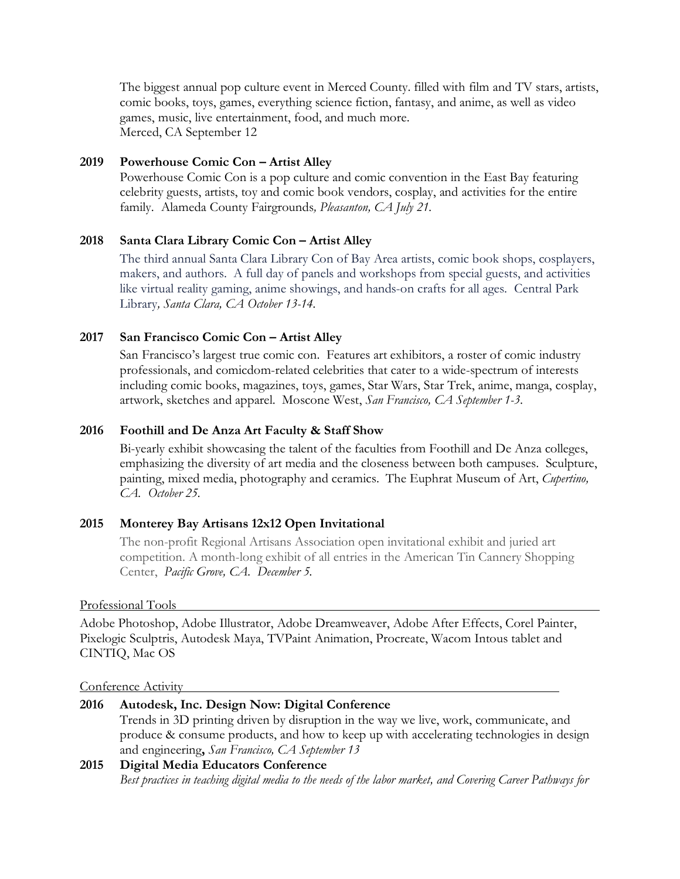The biggest annual pop culture event in Merced County. filled with film and TV stars, artists, comic books, toys, games, everything science fiction, fantasy, and anime, as well as video games, music, live entertainment, food, and much more. Merced, CA September 12

### **2019 Powerhouse Comic Con – Artist Alley**

Powerhouse Comic Con is a pop culture and comic convention in the East Bay featuring celebrity guests, artists, toy and comic book vendors, cosplay, and activities for the entire family. Alameda County Fairgrounds*, Pleasanton, CA July 21.*

### **2018 Santa Clara Library Comic Con – Artist Alley**

The third annual Santa Clara Library Con of Bay Area artists, comic book shops, cosplayers, makers, and authors. A full day of panels and workshops from special guests, and activities like virtual reality gaming, anime showings, and hands-on crafts for all ages. Central Park Library*, Santa Clara, CA October 13-14.*

### **2017 San Francisco Comic Con – Artist Alley**

San Francisco's largest true comic con. Features art exhibitors, a roster of comic industry professionals, and comicdom-related celebrities that cater to a wide-spectrum of interests including comic books, magazines, toys, games, Star Wars, Star Trek, anime, manga, cosplay, artwork, sketches and apparel. Moscone West, *San Francisco, CA September 1-3*.

### **2016 Foothill and De Anza Art Faculty & Staff Show**

Bi-yearly exhibit showcasing the talent of the faculties from Foothill and De Anza colleges, emphasizing the diversity of art media and the closeness between both campuses. Sculpture, painting, mixed media, photography and ceramics. The Euphrat Museum of Art, *Cupertino, CA. October 25.*

#### **2015 Monterey Bay Artisans 12x12 Open Invitational**

The non-profit Regional Artisans Association open invitational exhibit and juried art competition. A month-long exhibit of all entries in the American Tin Cannery Shopping Center, *Pacific Grove, CA. December 5.*

#### Professional Tools

Adobe Photoshop, Adobe Illustrator, Adobe Dreamweaver, Adobe After Effects, Corel Painter, Pixelogic Sculptris, Autodesk Maya, TVPaint Animation, Procreate, Wacom Intous tablet and CINTIQ, Mac OS

#### Conference Activity

| 2016 | Autodesk, Inc. Design Now: Digital Conference                                           |
|------|-----------------------------------------------------------------------------------------|
|      | Trends in 3D printing driven by disruption in the way we live, work, communicate, and   |
|      | produce & consume products, and how to keep up with accelerating technologies in design |
|      | and engineering, San Francisco, CA September 13                                         |
| 2015 | Digital Media Educators Conference                                                      |

#### *Best practices in teaching digital media to the needs of the labor market, and Covering Career Pathways for*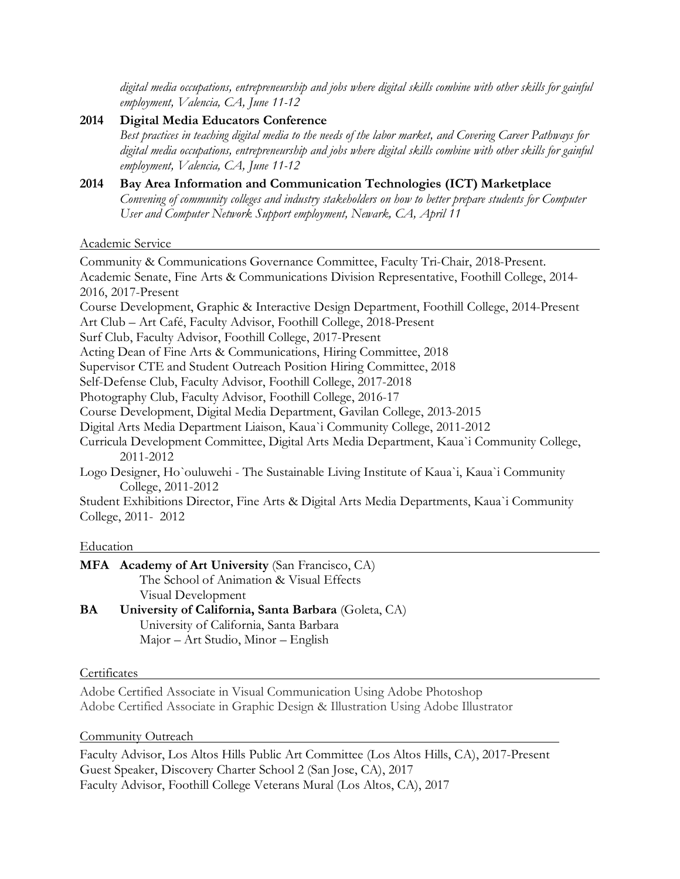*digital media occupations, entrepreneurship and jobs where digital skills combine with other skills for gainful employment, Valencia, CA, June 11-12*

- **2014 Digital Media Educators Conference** *Best practices in teaching digital media to the needs of the labor market, and Covering Career Pathways for digital media occupations, entrepreneurship and jobs where digital skills combine with other skills for gainful employment, Valencia, CA, June 11-12*
- **2014 Bay Area Information and Communication Technologies (ICT) Marketplace** *Convening of community colleges and industry stakeholders on how to better prepare students for Computer User and Computer Network Support employment, Newark, CA, April 11*

Academic Service

Community & Communications Governance Committee, Faculty Tri-Chair, 2018-Present. Academic Senate, Fine Arts & Communications Division Representative, Foothill College, 2014- 2016, 2017-Present Course Development, Graphic & Interactive Design Department, Foothill College, 2014-Present Art Club – Art Café, Faculty Advisor, Foothill College, 2018-Present Surf Club, Faculty Advisor, Foothill College, 2017-Present Acting Dean of Fine Arts & Communications, Hiring Committee, 2018 Supervisor CTE and Student Outreach Position Hiring Committee, 2018 Self-Defense Club, Faculty Advisor, Foothill College, 2017-2018 Photography Club, Faculty Advisor, Foothill College, 2016-17 Course Development, Digital Media Department, Gavilan College, 2013-2015 Digital Arts Media Department Liaison, Kaua`i Community College, 2011-2012 Curricula Development Committee, Digital Arts Media Department, Kaua`i Community College, 2011-2012 Logo Designer, Ho`ouluwehi - The Sustainable Living Institute of Kaua`i, Kaua`i Community College, 2011-2012 Student Exhibitions Director, Fine Arts & Digital Arts Media Departments, Kaua`i Community

College, 2011- 2012

#### **Education**

|           | MFA Academy of Art University (San Francisco, CA)    |
|-----------|------------------------------------------------------|
|           | The School of Animation & Visual Effects             |
|           | Visual Development                                   |
| <b>BA</b> | University of California, Santa Barbara (Goleta, CA) |

University of California, Santa Barbara Major – Art Studio, Minor – English

#### **Certificates**

Adobe Certified Associate in Visual Communication Using Adobe Photoshop Adobe Certified Associate in Graphic Design & Illustration Using Adobe Illustrator

#### Community Outreach

Faculty Advisor, Los Altos Hills Public Art Committee (Los Altos Hills, CA), 2017-Present Guest Speaker, Discovery Charter School 2 (San Jose, CA), 2017 Faculty Advisor, Foothill College Veterans Mural (Los Altos, CA), 2017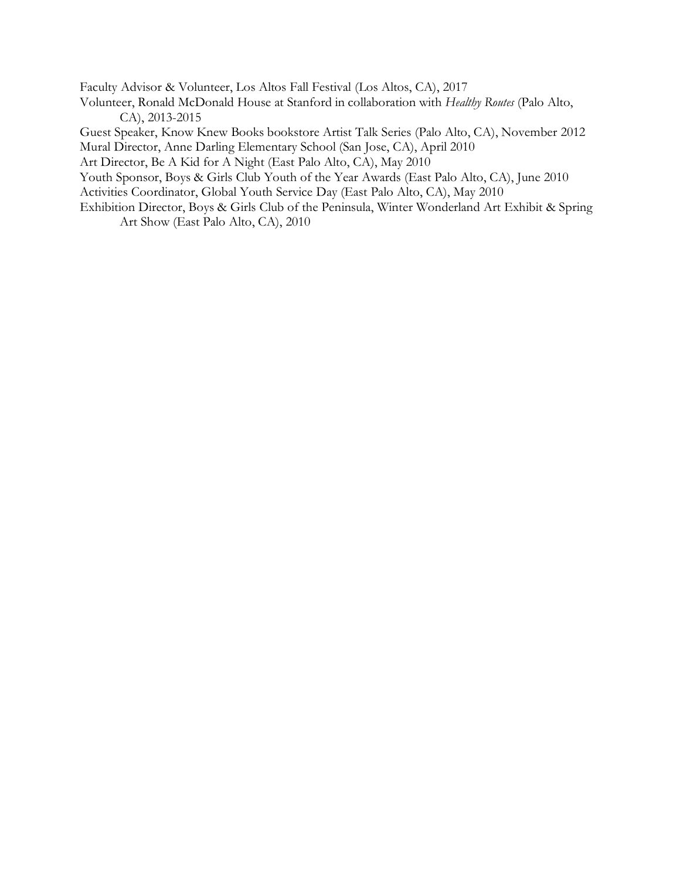Faculty Advisor & Volunteer, Los Altos Fall Festival (Los Altos, CA), 2017 Volunteer, Ronald McDonald House at Stanford in collaboration with *Healthy Routes* (Palo Alto, CA), 2013-2015 Guest Speaker, Know Knew Books bookstore Artist Talk Series (Palo Alto, CA), November 2012 Mural Director, Anne Darling Elementary School (San Jose, CA), April 2010 Art Director, Be A Kid for A Night (East Palo Alto, CA), May 2010 Youth Sponsor, Boys & Girls Club Youth of the Year Awards (East Palo Alto, CA), June 2010

Activities Coordinator, Global Youth Service Day (East Palo Alto, CA), May 2010

Exhibition Director, Boys & Girls Club of the Peninsula, Winter Wonderland Art Exhibit & Spring Art Show (East Palo Alto, CA), 2010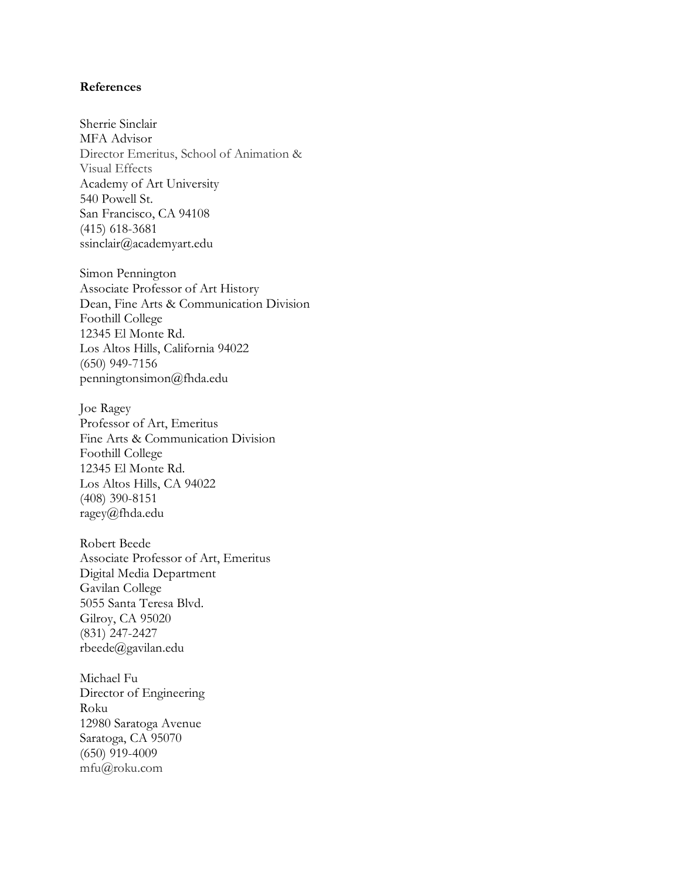#### **References**

Sherrie Sinclair MFA Advisor Director Emeritus, School of Animation & Visual Effects Academy of Art University 540 Powell St. San Francisco, CA 94108 (415) 618-3681 ssinclair@academyart.edu

Simon Pennington Associate Professor of Art History Dean, Fine Arts & Communication Division Foothill College 12345 El Monte Rd. Los Altos Hills, California 94022 (650) 949-7156 penningtonsimon@fhda.edu

Joe Ragey Professor of Art, Emeritus Fine Arts & Communication Division Foothill College 12345 El Monte Rd. Los Altos Hills, CA 94022 (408) 390-8151 ragey@fhda.edu

Robert Beede Associate Professor of Art, Emeritus Digital Media Department Gavilan College 5055 Santa Teresa Blvd. Gilroy, CA 95020 (831) 247-2427 rbeede@gavilan.edu

Michael Fu Director of Engineering Roku 12980 Saratoga Avenue Saratoga, CA 95070 (650) 919-4009 mfu@roku.com